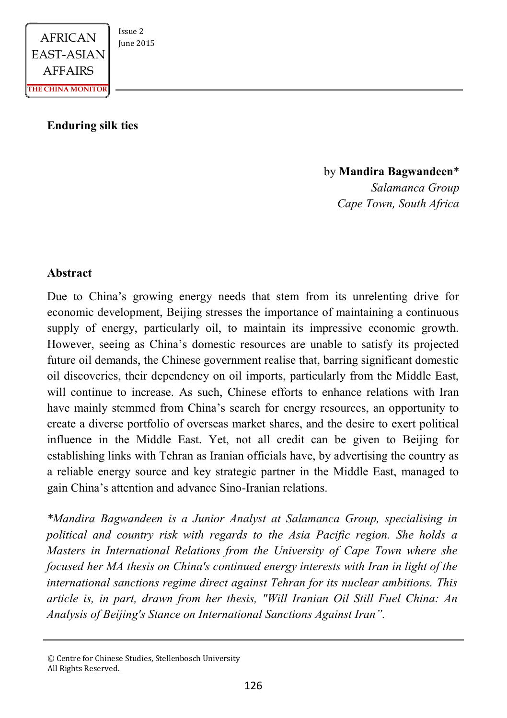

#### **Enduring silk ties**

by **Mandira Bagwandeen**\* *Salamanca Group Cape Town, South Africa* 

### **Abstract**

Due to China's growing energy needs that stem from its unrelenting drive for economic development, Beijing stresses the importance of maintaining a continuous supply of energy, particularly oil, to maintain its impressive economic growth. However, seeing as China's domestic resources are unable to satisfy its projected future oil demands, the Chinese government realise that, barring significant domestic oil discoveries, their dependency on oil imports, particularly from the Middle East, will continue to increase. As such, Chinese efforts to enhance relations with Iran have mainly stemmed from China's search for energy resources, an opportunity to create a diverse portfolio of overseas market shares, and the desire to exert political influence in the Middle East. Yet, not all credit can be given to Beijing for establishing links with Tehran as Iranian officials have, by advertising the country as a reliable energy source and key strategic partner in the Middle East, managed to gain China's attention and advance Sino-Iranian relations.

*\*Mandira Bagwandeen is a Junior Analyst at Salamanca Group, specialising in political and country risk with regards to the Asia Pacific region. She holds a Masters in International Relations from the University of Cape Town where she focused her MA thesis on China's continued energy interests with Iran in light of the international sanctions regime direct against Tehran for its nuclear ambitions. This article is, in part, drawn from her thesis, " Will Iranian Oil Still Fuel China: An Analysis of Beijing's Stance on International Sanctions Against Iran".*

<sup>©</sup> Centre for Chinese Studies, Stellenbosch University All Rights Reserved.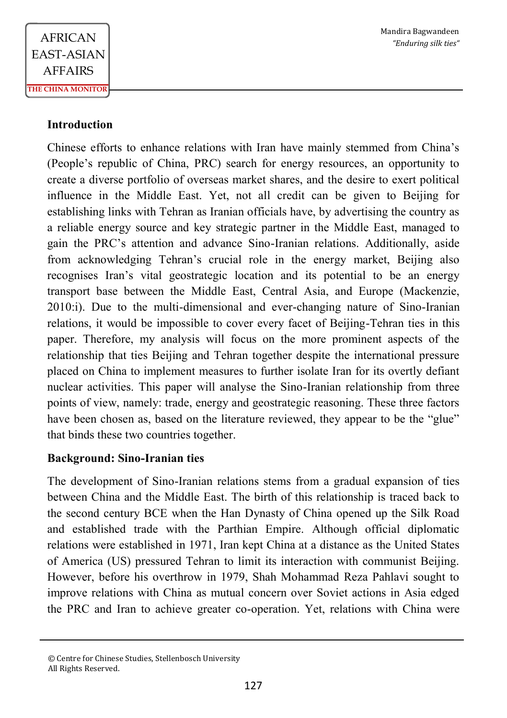# **Introduction**

Chinese efforts to enhance relations with Iran have mainly stemmed from China's (People's republic of China, PRC) search for energy resources, an opportunity to create a diverse portfolio of overseas market shares, and the desire to exert political influence in the Middle East. Yet, not all credit can be given to Beijing for establishing links with Tehran as Iranian officials have, by advertising the country as a reliable energy source and key strategic partner in the Middle East, managed to gain the PRC's attention and advance Sino-Iranian relations. Additionally, aside from acknowledging Tehran's crucial role in the energy market, Beijing also recognises Iran's vital geostrategic location and its potential to be an energy transport base between the Middle East, Central Asia, and Europe (Mackenzie, 2010:i). Due to the multi-dimensional and ever-changing nature of Sino-Iranian relations, it would be impossible to cover every facet of Beijing-Tehran ties in this paper. Therefore, my analysis will focus on the more prominent aspects of the relationship that ties Beijing and Tehran together despite the international pressure placed on China to implement measures to further isolate Iran for its overtly defiant nuclear activities. This paper will analyse the Sino-Iranian relationship from three points of view, namely: trade, energy and geostrategic reasoning. These three factors have been chosen as, based on the literature reviewed, they appear to be the "glue" that binds these two countries together.

## **Background: Sino-Iranian ties**

The development of Sino-Iranian relations stems from a gradual expansion of ties between China and the Middle East. The birth of this relationship is traced back to the second century BCE when the Han Dynasty of China opened up the Silk Road and established trade with the Parthian Empire. Although official diplomatic relations were established in 1971, Iran kept China at a distance as the United States of America (US) pressured Tehran to limit its interaction with communist Beijing. However, before his overthrow in 1979, Shah Mohammad Reza Pahlavi sought to improve relations with China as mutual concern over Soviet actions in Asia edged the PRC and Iran to achieve greater co-operation. Yet, relations with China were

<sup>©</sup> Centre for Chinese Studies, Stellenbosch University All Rights Reserved.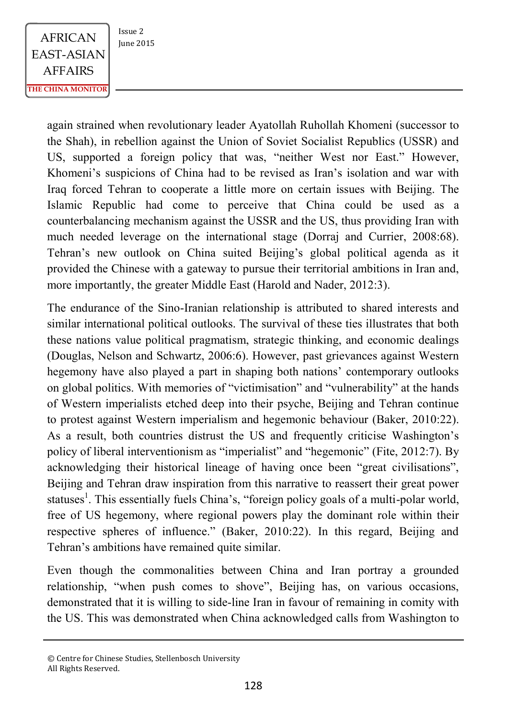$AFRICAN$   $\begin{array}{|c|c|} \n \hline \n \text{Issue 2} & \n \text{Iunie 2015} \n \end{array}$ EAST-ASIAN AFFAIRS **THE CHINA MONITOR**

again strained when revolutionary leader Ayatollah Ruhollah Khomeni (successor to the Shah), in rebellion against the Union of Soviet Socialist Republics (USSR) and US, supported a foreign policy that was, "neither West nor East." However, Khomeni's suspicions of China had to be revised as Iran's isolation and war with Iraq forced Tehran to cooperate a little more on certain issues with Beijing. The Islamic Republic had come to perceive that China could be used as a counterbalancing mechanism against the USSR and the US, thus providing Iran with much needed leverage on the international stage (Dorraj and Currier, 2008:68). Tehran's new outlook on China suited Beijing's global political agenda as it provided the Chinese with a gateway to pursue their territorial ambitions in Iran and, more importantly, the greater Middle East (Harold and Nader, 2012:3).

The endurance of the Sino-Iranian relationship is attributed to shared interests and similar international political outlooks. The survival of these ties illustrates that both these nations value political pragmatism, strategic thinking, and economic dealings (Douglas, Nelson and Schwartz, 2006:6). However, past grievances against Western hegemony have also played a part in shaping both nations' contemporary outlooks on global politics. With memories of "victimisation" and "vulnerability" at the hands of Western imperialists etched deep into their psyche, Beijing and Tehran continue to protest against Western imperialism and hegemonic behaviour (Baker, 2010:22). As a result, both countries distrust the US and frequently criticise Washington's policy of liberal interventionism as "imperialist" and "hegemonic" (Fite, 2012:7). By acknowledging their historical lineage of having once been "great civilisations", Beijing and Tehran draw inspiration from this narrative to reassert their great power statuses<sup>1</sup>. This essentially fuels China's, "foreign policy goals of a multi-polar world, free of US hegemony, where regional powers play the dominant role within their respective spheres of influence." (Baker, 2010:22). In this regard, Beijing and Tehran's ambitions have remained quite similar.

Even though the commonalities between China and Iran portray a grounded relationship, "when push comes to shove", Beijing has, on various occasions, demonstrated that it is willing to side-line Iran in favour of remaining in comity with the US. This was demonstrated when China acknowledged calls from Washington to

<sup>©</sup> Centre for Chinese Studies, Stellenbosch University All Rights Reserved.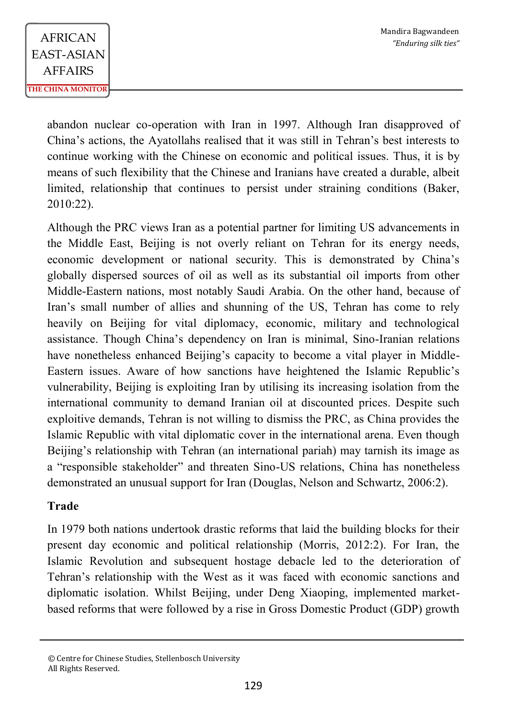abandon nuclear co-operation with Iran in 1997. Although Iran disapproved of China's actions, the Ayatollahs realised that it was still in Tehran's best interests to continue working with the Chinese on economic and political issues. Thus, it is by means of such flexibility that the Chinese and Iranians have created a durable, albeit limited, relationship that continues to persist under straining conditions (Baker, 2010:22).

Although the PRC views Iran as a potential partner for limiting US advancements in the Middle East, Beijing is not overly reliant on Tehran for its energy needs, economic development or national security. This is demonstrated by China's globally dispersed sources of oil as well as its substantial oil imports from other Middle-Eastern nations, most notably Saudi Arabia. On the other hand, because of Iran's small number of allies and shunning of the US, Tehran has come to rely heavily on Beijing for vital diplomacy, economic, military and technological assistance. Though China's dependency on Iran is minimal, Sino-Iranian relations have nonetheless enhanced Beijing's capacity to become a vital player in Middle-Eastern issues. Aware of how sanctions have heightened the Islamic Republic's vulnerability, Beijing is exploiting Iran by utilising its increasing isolation from the international community to demand Iranian oil at discounted prices. Despite such exploitive demands, Tehran is not willing to dismiss the PRC, as China provides the Islamic Republic with vital diplomatic cover in the international arena. Even though Beijing's relationship with Tehran (an international pariah) may tarnish its image as a "responsible stakeholder" and threaten Sino-US relations, China has nonetheless demonstrated an unusual support for Iran (Douglas, Nelson and Schwartz, 2006:2).

# **Trade**

In 1979 both nations undertook drastic reforms that laid the building blocks for their present day economic and political relationship (Morris, 2012:2). For Iran, the Islamic Revolution and subsequent hostage debacle led to the deterioration of Tehran's relationship with the West as it was faced with economic sanctions and diplomatic isolation. Whilst Beijing, under Deng Xiaoping, implemented marketbased reforms that were followed by a rise in Gross Domestic Product (GDP) growth

<sup>©</sup> Centre for Chinese Studies, Stellenbosch University All Rights Reserved.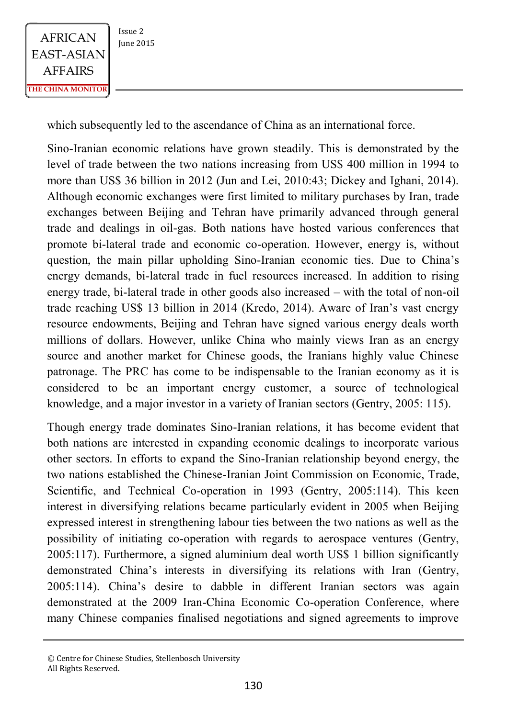

which subsequently led to the ascendance of China as an international force.

Sino-Iranian economic relations have grown steadily. This is demonstrated by the level of trade between the two nations increasing from US\$ 400 million in 1994 to more than US\$ 36 billion in 2012 (Jun and Lei, 2010:43; Dickey and Ighani, 2014). Although economic exchanges were first limited to military purchases by Iran, trade exchanges between Beijing and Tehran have primarily advanced through general trade and dealings in oil-gas. Both nations have hosted various conferences that promote bi-lateral trade and economic co-operation. However, energy is, without question, the main pillar upholding Sino-Iranian economic ties. Due to China's energy demands, bi-lateral trade in fuel resources increased. In addition to rising energy trade, bi-lateral trade in other goods also increased – with the total of non-oil trade reaching US\$ 13 billion in 2014 (Kredo, 2014). Aware of Iran's vast energy resource endowments, Beijing and Tehran have signed various energy deals worth millions of dollars. However, unlike China who mainly views Iran as an energy source and another market for Chinese goods, the Iranians highly value Chinese patronage. The PRC has come to be indispensable to the Iranian economy as it is considered to be an important energy customer, a source of technological knowledge, and a major investor in a variety of Iranian sectors (Gentry, 2005: 115).

Though energy trade dominates Sino-Iranian relations, it has become evident that both nations are interested in expanding economic dealings to incorporate various other sectors. In efforts to expand the Sino-Iranian relationship beyond energy, the two nations established the Chinese-Iranian Joint Commission on Economic, Trade, Scientific, and Technical Co-operation in 1993 (Gentry, 2005:114). This keen interest in diversifying relations became particularly evident in 2005 when Beijing expressed interest in strengthening labour ties between the two nations as well as the possibility of initiating co-operation with regards to aerospace ventures (Gentry, 2005:117). Furthermore, a signed aluminium deal worth US\$ 1 billion significantly demonstrated China's interests in diversifying its relations with Iran (Gentry, 2005:114). China's desire to dabble in different Iranian sectors was again demonstrated at the 2009 Iran-China Economic Co-operation Conference, where many Chinese companies finalised negotiations and signed agreements to improve

<sup>©</sup> Centre for Chinese Studies, Stellenbosch University All Rights Reserved.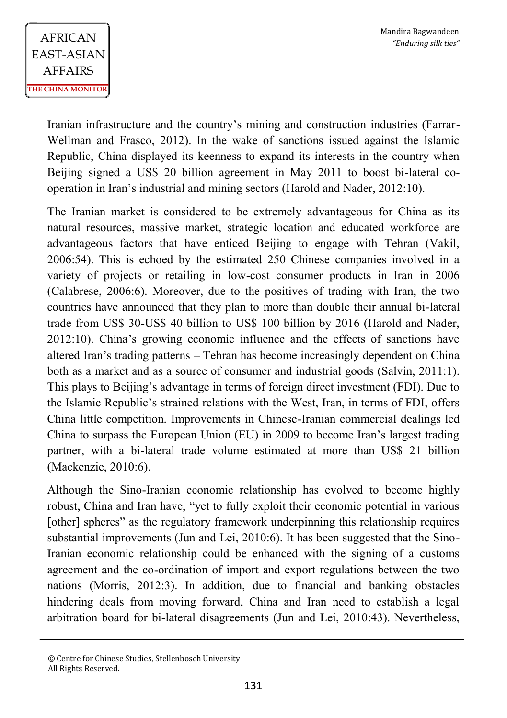Iranian infrastructure and the country's mining and construction industries (Farrar-Wellman and Frasco, 2012). In the wake of sanctions issued against the Islamic Republic, China displayed its keenness to expand its interests in the country when Beijing signed a US\$ 20 billion agreement in May 2011 to boost bi-lateral cooperation in Iran's industrial and mining sectors (Harold and Nader, 2012:10).

The Iranian market is considered to be extremely advantageous for China as its natural resources, massive market, strategic location and educated workforce are advantageous factors that have enticed Beijing to engage with Tehran (Vakil, 2006:54). This is echoed by the estimated 250 Chinese companies involved in a variety of projects or retailing in low-cost consumer products in Iran in 2006 (Calabrese, 2006:6). Moreover, due to the positives of trading with Iran, the two countries have announced that they plan to more than double their annual bi-lateral trade from US\$ 30-US\$ 40 billion to US\$ 100 billion by 2016 (Harold and Nader, 2012:10). China's growing economic influence and the effects of sanctions have altered Iran's trading patterns – Tehran has become increasingly dependent on China both as a market and as a source of consumer and industrial goods (Salvin, 2011:1). This plays to Beijing's advantage in terms of foreign direct investment (FDI). Due to the Islamic Republic's strained relations with the West, Iran, in terms of FDI, offers China little competition. Improvements in Chinese-Iranian commercial dealings led China to surpass the European Union (EU) in 2009 to become Iran's largest trading partner, with a bi-lateral trade volume estimated at more than US\$ 21 billion (Mackenzie, 2010:6).

Although the Sino-Iranian economic relationship has evolved to become highly robust, China and Iran have, "yet to fully exploit their economic potential in various [other] spheres" as the regulatory framework underpinning this relationship requires substantial improvements (Jun and Lei, 2010:6). It has been suggested that the Sino-Iranian economic relationship could be enhanced with the signing of a customs agreement and the co-ordination of import and export regulations between the two nations (Morris, 2012:3). In addition, due to financial and banking obstacles hindering deals from moving forward, China and Iran need to establish a legal arbitration board for bi-lateral disagreements (Jun and Lei, 2010:43). Nevertheless,

<sup>©</sup> Centre for Chinese Studies, Stellenbosch University All Rights Reserved.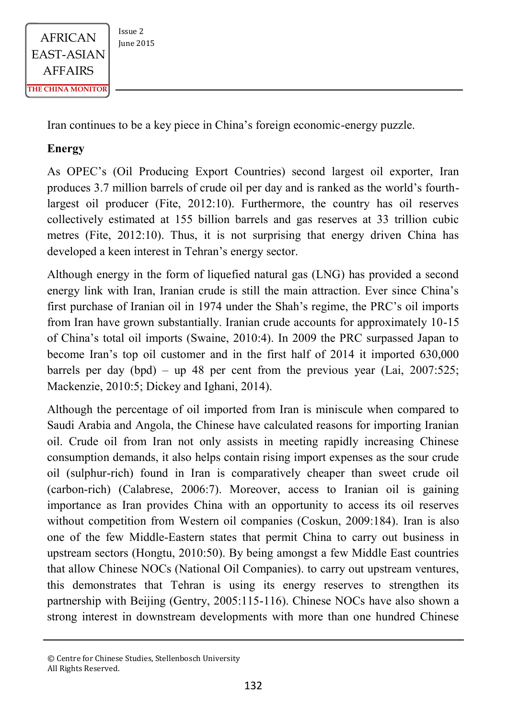

Iran continues to be a key piece in China's foreign economic-energy puzzle.

# **Energy**

As OPEC's (Oil Producing Export Countries) second largest oil exporter, Iran produces 3.7 million barrels of crude oil per day and is ranked as the world's fourthlargest oil producer (Fite, 2012:10). Furthermore, the country has oil reserves collectively estimated at 155 billion barrels and gas reserves at 33 trillion cubic metres (Fite, 2012:10). Thus, it is not surprising that energy driven China has developed a keen interest in Tehran's energy sector.

Although energy in the form of liquefied natural gas (LNG) has provided a second energy link with Iran, Iranian crude is still the main attraction. Ever since China's first purchase of Iranian oil in 1974 under the Shah's regime, the PRC's oil imports from Iran have grown substantially. Iranian crude accounts for approximately 10-15 of China's total oil imports (Swaine, 2010:4). In 2009 the PRC surpassed Japan to become Iran's top oil customer and in the first half of 2014 it imported 630,000 barrels per day (bpd) – up 48 per cent from the previous year (Lai,  $2007:525$ ; Mackenzie, 2010:5; Dickey and Ighani, 2014).

Although the percentage of oil imported from Iran is miniscule when compared to Saudi Arabia and Angola, the Chinese have calculated reasons for importing Iranian oil. Crude oil from Iran not only assists in meeting rapidly increasing Chinese consumption demands, it also helps contain rising import expenses as the sour crude oil (sulphur-rich) found in Iran is comparatively cheaper than sweet crude oil (carbon-rich) (Calabrese, 2006:7). Moreover, access to Iranian oil is gaining importance as Iran provides China with an opportunity to access its oil reserves without competition from Western oil companies (Coskun, 2009:184). Iran is also one of the few Middle-Eastern states that permit China to carry out business in upstream sectors (Hongtu, 2010:50). By being amongst a few Middle East countries that allow Chinese NOCs (National Oil Companies). to carry out upstream ventures, this demonstrates that Tehran is using its energy reserves to strengthen its partnership with Beijing (Gentry, 2005:115-116). Chinese NOCs have also shown a strong interest in downstream developments with more than one hundred Chinese

<sup>©</sup> Centre for Chinese Studies, Stellenbosch University All Rights Reserved.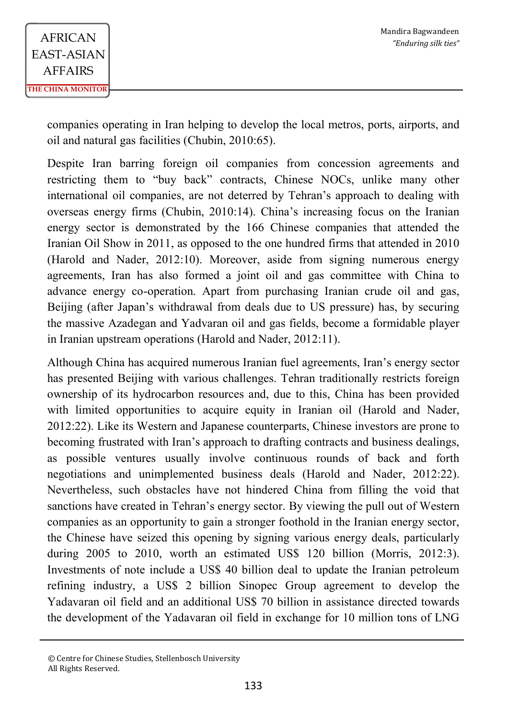companies operating in Iran helping to develop the local metros, ports, airports, and oil and natural gas facilities (Chubin, 2010:65).

Despite Iran barring foreign oil companies from concession agreements and restricting them to "buy back" contracts, Chinese NOCs, unlike many other international oil companies, are not deterred by Tehran's approach to dealing with overseas energy firms (Chubin, 2010:14). China's increasing focus on the Iranian energy sector is demonstrated by the 166 Chinese companies that attended the Iranian Oil Show in 2011, as opposed to the one hundred firms that attended in 2010 (Harold and Nader, 2012:10). Moreover, aside from signing numerous energy agreements, Iran has also formed a joint oil and gas committee with China to advance energy co-operation. Apart from purchasing Iranian crude oil and gas, Beijing (after Japan's withdrawal from deals due to US pressure) has, by securing the massive Azadegan and Yadvaran oil and gas fields, become a formidable player in Iranian upstream operations (Harold and Nader, 2012:11).

Although China has acquired numerous Iranian fuel agreements, Iran's energy sector has presented Beijing with various challenges. Tehran traditionally restricts foreign ownership of its hydrocarbon resources and, due to this, China has been provided with limited opportunities to acquire equity in Iranian oil (Harold and Nader, 2012:22). Like its Western and Japanese counterparts, Chinese investors are prone to becoming frustrated with Iran's approach to drafting contracts and business dealings, as possible ventures usually involve continuous rounds of back and forth negotiations and unimplemented business deals (Harold and Nader, 2012:22). Nevertheless, such obstacles have not hindered China from filling the void that sanctions have created in Tehran's energy sector. By viewing the pull out of Western companies as an opportunity to gain a stronger foothold in the Iranian energy sector, the Chinese have seized this opening by signing various energy deals, particularly during 2005 to 2010, worth an estimated US\$ 120 billion (Morris, 2012:3). Investments of note include a US\$ 40 billion deal to update the Iranian petroleum refining industry, a US\$ 2 billion Sinopec Group agreement to develop the Yadavaran oil field and an additional US\$ 70 billion in assistance directed towards the development of the Yadavaran oil field in exchange for 10 million tons of LNG

<sup>©</sup> Centre for Chinese Studies, Stellenbosch University All Rights Reserved.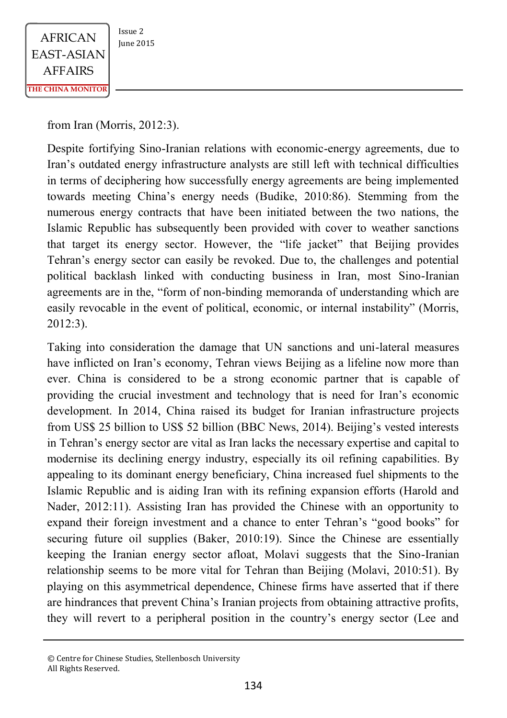

from Iran (Morris, 2012:3).

Despite fortifying Sino-Iranian relations with economic-energy agreements, due to Iran's outdated energy infrastructure analysts are still left with technical difficulties in terms of deciphering how successfully energy agreements are being implemented towards meeting China's energy needs (Budike, 2010:86). Stemming from the numerous energy contracts that have been initiated between the two nations, the Islamic Republic has subsequently been provided with cover to weather sanctions that target its energy sector. However, the "life jacket" that Beijing provides Tehran's energy sector can easily be revoked. Due to, the challenges and potential political backlash linked with conducting business in Iran, most Sino-Iranian agreements are in the, "form of non-binding memoranda of understanding which are easily revocable in the event of political, economic, or internal instability" (Morris, 2012:3).

Taking into consideration the damage that UN sanctions and uni-lateral measures have inflicted on Iran's economy, Tehran views Beijing as a lifeline now more than ever. China is considered to be a strong economic partner that is capable of providing the crucial investment and technology that is need for Iran's economic development. In 2014, China raised its budget for Iranian infrastructure projects from US\$ 25 billion to US\$ 52 billion (BBC News, 2014). Beijing's vested interests in Tehran's energy sector are vital as Iran lacks the necessary expertise and capital to modernise its declining energy industry, especially its oil refining capabilities. By appealing to its dominant energy beneficiary, China increased fuel shipments to the Islamic Republic and is aiding Iran with its refining expansion efforts (Harold and Nader, 2012:11). Assisting Iran has provided the Chinese with an opportunity to expand their foreign investment and a chance to enter Tehran's "good books" for securing future oil supplies (Baker, 2010:19). Since the Chinese are essentially keeping the Iranian energy sector afloat, Molavi suggests that the Sino-Iranian relationship seems to be more vital for Tehran than Beijing (Molavi, 2010:51). By playing on this asymmetrical dependence, Chinese firms have asserted that if there are hindrances that prevent China's Iranian projects from obtaining attractive profits, they will revert to a peripheral position in the country's energy sector (Lee and

<sup>©</sup> Centre for Chinese Studies, Stellenbosch University All Rights Reserved.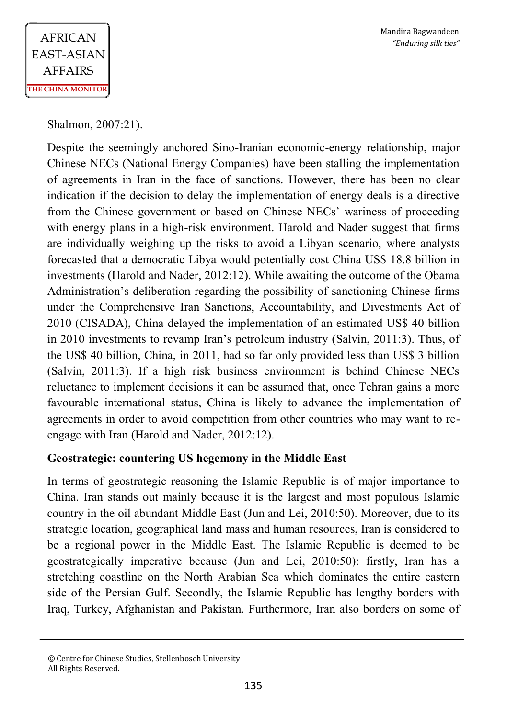Shalmon, 2007:21).

Despite the seemingly anchored Sino-Iranian economic-energy relationship, major Chinese NECs (National Energy Companies) have been stalling the implementation of agreements in Iran in the face of sanctions. However, there has been no clear indication if the decision to delay the implementation of energy deals is a directive from the Chinese government or based on Chinese NECs' wariness of proceeding with energy plans in a high-risk environment. Harold and Nader suggest that firms are individually weighing up the risks to avoid a Libyan scenario, where analysts forecasted that a democratic Libya would potentially cost China US\$ 18.8 billion in investments (Harold and Nader, 2012:12). While awaiting the outcome of the Obama Administration's deliberation regarding the possibility of sanctioning Chinese firms under the Comprehensive Iran Sanctions, Accountability, and Divestments Act of 2010 (CISADA), China delayed the implementation of an estimated US\$ 40 billion in 2010 investments to revamp Iran's petroleum industry (Salvin, 2011:3). Thus, of the US\$ 40 billion, China, in 2011, had so far only provided less than US\$ 3 billion (Salvin, 2011:3). If a high risk business environment is behind Chinese NECs reluctance to implement decisions it can be assumed that, once Tehran gains a more favourable international status, China is likely to advance the implementation of agreements in order to avoid competition from other countries who may want to reengage with Iran (Harold and Nader, 2012:12).

## **Geostrategic: countering US hegemony in the Middle East**

In terms of geostrategic reasoning the Islamic Republic is of major importance to China. Iran stands out mainly because it is the largest and most populous Islamic country in the oil abundant Middle East (Jun and Lei, 2010:50). Moreover, due to its strategic location, geographical land mass and human resources, Iran is considered to be a regional power in the Middle East. The Islamic Republic is deemed to be geostrategically imperative because (Jun and Lei, 2010:50): firstly, Iran has a stretching coastline on the North Arabian Sea which dominates the entire eastern side of the Persian Gulf. Secondly, the Islamic Republic has lengthy borders with Iraq, Turkey, Afghanistan and Pakistan. Furthermore, Iran also borders on some of

<sup>©</sup> Centre for Chinese Studies, Stellenbosch University All Rights Reserved.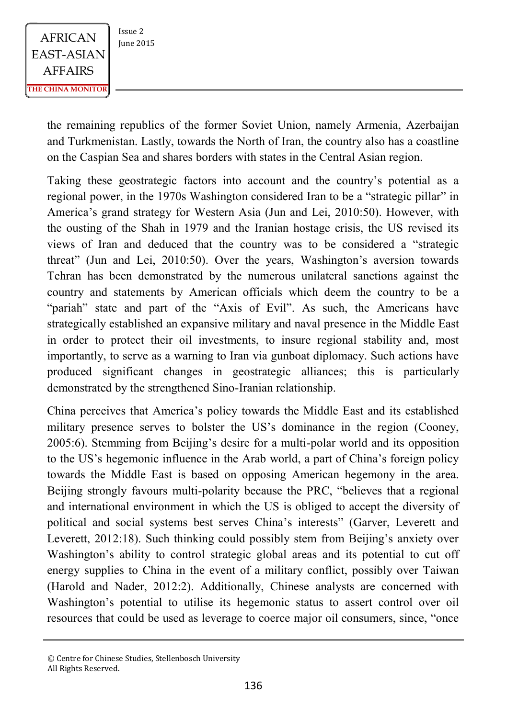

the remaining republics of the former Soviet Union, namely Armenia, Azerbaijan and Turkmenistan. Lastly, towards the North of Iran, the country also has a coastline on the Caspian Sea and shares borders with states in the Central Asian region.

Taking these geostrategic factors into account and the country's potential as a regional power, in the 1970s Washington considered Iran to be a "strategic pillar" in America's grand strategy for Western Asia (Jun and Lei, 2010:50). However, with the ousting of the Shah in 1979 and the Iranian hostage crisis, the US revised its views of Iran and deduced that the country was to be considered a "strategic threat" (Jun and Lei, 2010:50). Over the years, Washington's aversion towards Tehran has been demonstrated by the numerous unilateral sanctions against the country and statements by American officials which deem the country to be a "pariah" state and part of the "Axis of Evil". As such, the Americans have strategically established an expansive military and naval presence in the Middle East in order to protect their oil investments, to insure regional stability and, most importantly, to serve as a warning to Iran via gunboat diplomacy. Such actions have produced significant changes in geostrategic alliances; this is particularly demonstrated by the strengthened Sino-Iranian relationship.

China perceives that America's policy towards the Middle East and its established military presence serves to bolster the US's dominance in the region (Cooney, 2005:6). Stemming from Beijing's desire for a multi-polar world and its opposition to the US's hegemonic influence in the Arab world, a part of China's foreign policy towards the Middle East is based on opposing American hegemony in the area. Beijing strongly favours multi-polarity because the PRC, "believes that a regional and international environment in which the US is obliged to accept the diversity of political and social systems best serves China's interests" (Garver, Leverett and Leverett, 2012:18). Such thinking could possibly stem from Beijing's anxiety over Washington's ability to control strategic global areas and its potential to cut off energy supplies to China in the event of a military conflict, possibly over Taiwan (Harold and Nader, 2012:2). Additionally, Chinese analysts are concerned with Washington's potential to utilise its hegemonic status to assert control over oil resources that could be used as leverage to coerce major oil consumers, since, "once

<sup>©</sup> Centre for Chinese Studies, Stellenbosch University All Rights Reserved.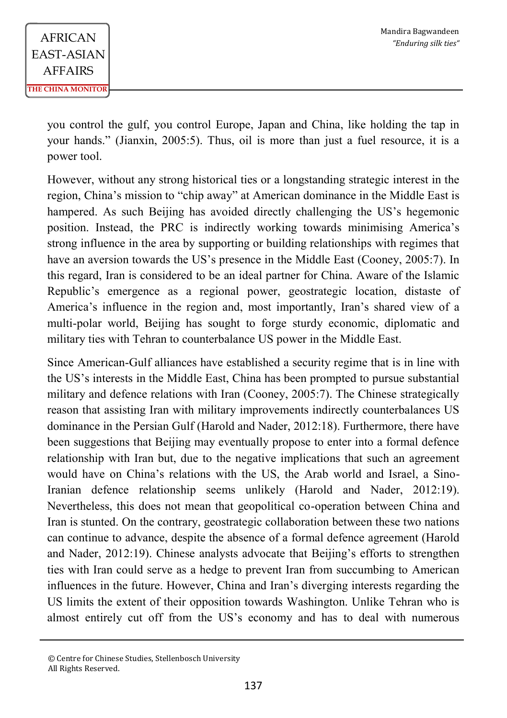you control the gulf, you control Europe, Japan and China, like holding the tap in your hands." (Jianxin, 2005:5). Thus, oil is more than just a fuel resource, it is a power tool.

However, without any strong historical ties or a longstanding strategic interest in the region, China's mission to "chip away" at American dominance in the Middle East is hampered. As such Beijing has avoided directly challenging the US's hegemonic position. Instead, the PRC is indirectly working towards minimising America's strong influence in the area by supporting or building relationships with regimes that have an aversion towards the US's presence in the Middle East (Cooney, 2005:7). In this regard, Iran is considered to be an ideal partner for China. Aware of the Islamic Republic's emergence as a regional power, geostrategic location, distaste of America's influence in the region and, most importantly, Iran's shared view of a multi-polar world, Beijing has sought to forge sturdy economic, diplomatic and military ties with Tehran to counterbalance US power in the Middle East.

Since American-Gulf alliances have established a security regime that is in line with the US's interests in the Middle East, China has been prompted to pursue substantial military and defence relations with Iran (Cooney, 2005:7). The Chinese strategically reason that assisting Iran with military improvements indirectly counterbalances US dominance in the Persian Gulf (Harold and Nader, 2012:18). Furthermore, there have been suggestions that Beijing may eventually propose to enter into a formal defence relationship with Iran but, due to the negative implications that such an agreement would have on China's relations with the US, the Arab world and Israel, a Sino-Iranian defence relationship seems unlikely (Harold and Nader, 2012:19). Nevertheless, this does not mean that geopolitical co-operation between China and Iran is stunted. On the contrary, geostrategic collaboration between these two nations can continue to advance, despite the absence of a formal defence agreement (Harold and Nader, 2012:19). Chinese analysts advocate that Beijing's efforts to strengthen ties with Iran could serve as a hedge to prevent Iran from succumbing to American influences in the future. However, China and Iran's diverging interests regarding the US limits the extent of their opposition towards Washington. Unlike Tehran who is almost entirely cut off from the US's economy and has to deal with numerous

<sup>©</sup> Centre for Chinese Studies, Stellenbosch University All Rights Reserved.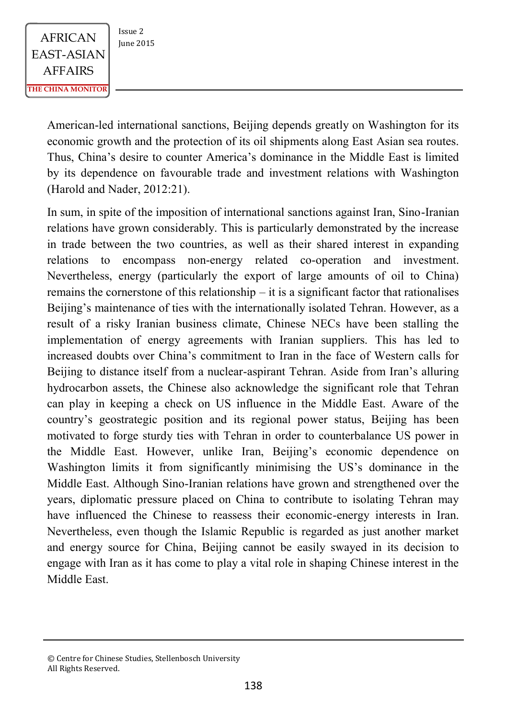$AFRICAN$   $\begin{array}{|c|c|} \n \hline \n \text{Issue 2} & \n \text{Iunie 2015} \n \end{array}$ EAST-ASIAN AFFAIRS **THE CHINA MONITOR**

American-led international sanctions, Beijing depends greatly on Washington for its economic growth and the protection of its oil shipments along East Asian sea routes. Thus, China's desire to counter America's dominance in the Middle East is limited by its dependence on favourable trade and investment relations with Washington (Harold and Nader, 2012:21).

In sum, in spite of the imposition of international sanctions against Iran, Sino-Iranian relations have grown considerably. This is particularly demonstrated by the increase in trade between the two countries, as well as their shared interest in expanding relations to encompass non-energy related co-operation and investment. Nevertheless, energy (particularly the export of large amounts of oil to China) remains the cornerstone of this relationship – it is a significant factor that rationalises Beijing's maintenance of ties with the internationally isolated Tehran. However, as a result of a risky Iranian business climate, Chinese NECs have been stalling the implementation of energy agreements with Iranian suppliers. This has led to increased doubts over China's commitment to Iran in the face of Western calls for Beijing to distance itself from a nuclear-aspirant Tehran. Aside from Iran's alluring hydrocarbon assets, the Chinese also acknowledge the significant role that Tehran can play in keeping a check on US influence in the Middle East. Aware of the country's geostrategic position and its regional power status, Beijing has been motivated to forge sturdy ties with Tehran in order to counterbalance US power in the Middle East. However, unlike Iran, Beijing's economic dependence on Washington limits it from significantly minimising the US's dominance in the Middle East. Although Sino-Iranian relations have grown and strengthened over the years, diplomatic pressure placed on China to contribute to isolating Tehran may have influenced the Chinese to reassess their economic-energy interests in Iran. Nevertheless, even though the Islamic Republic is regarded as just another market and energy source for China, Beijing cannot be easily swayed in its decision to engage with Iran as it has come to play a vital role in shaping Chinese interest in the Middle East.

<sup>©</sup> Centre for Chinese Studies, Stellenbosch University All Rights Reserved.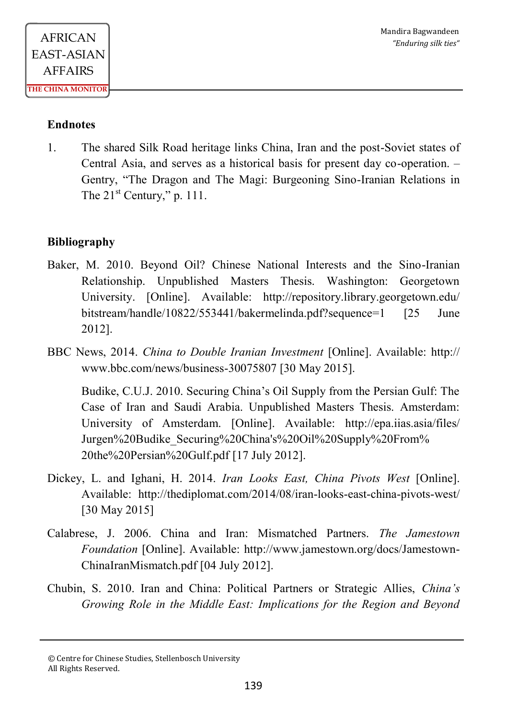### **Endnotes**

1. The shared Silk Road heritage links China, Iran and the post-Soviet states of Central Asia, and serves as a historical basis for present day co-operation. – Gentry, "The Dragon and The Magi: Burgeoning Sino-Iranian Relations in The  $21^{st}$  Century," p. 111.

## **Bibliography**

- Baker, M. 2010. Beyond Oil? Chinese National Interests and the Sino-Iranian Relationship. Unpublished Masters Thesis. Washington: Georgetown University. [Online]. Available: http://repository.library.georgetown.edu/ bitstream/handle/10822/553441/bakermelinda.pdf?sequence=1 [25 June 2012].
- BBC News, 2014. *China to Double Iranian Investment* [Online]. Available: http:// www.bbc.com/news/business-30075807 [30 May 2015].

Budike, C.U.J. 2010. Securing China's Oil Supply from the Persian Gulf: The Case of Iran and Saudi Arabia. Unpublished Masters Thesis. Amsterdam: University of Amsterdam. [Online]. Available: http://epa.iias.asia/files/ Jurgen%20Budike\_Securing%20China's%20Oil%20Supply%20From% 20the%20Persian%20Gulf.pdf [17 July 2012].

- Dickey, L. and Ighani, H. 2014. *Iran Looks East, China Pivots West* [Online]. Available: http://thediplomat.com/2014/08/iran-looks-east-china-pivots-west/ [30 May 2015]
- Calabrese, J. 2006. China and Iran: Mismatched Partners. *The Jamestown Foundation* [Online]. Available: http://www.jamestown.org/docs/Jamestown-ChinaIranMismatch.pdf [04 July 2012].
- Chubin, S. 2010. Iran and China: Political Partners or Strategic Allies, *China's Growing Role in the Middle East: Implications for the Region and Beyond*

<sup>©</sup> Centre for Chinese Studies, Stellenbosch University All Rights Reserved.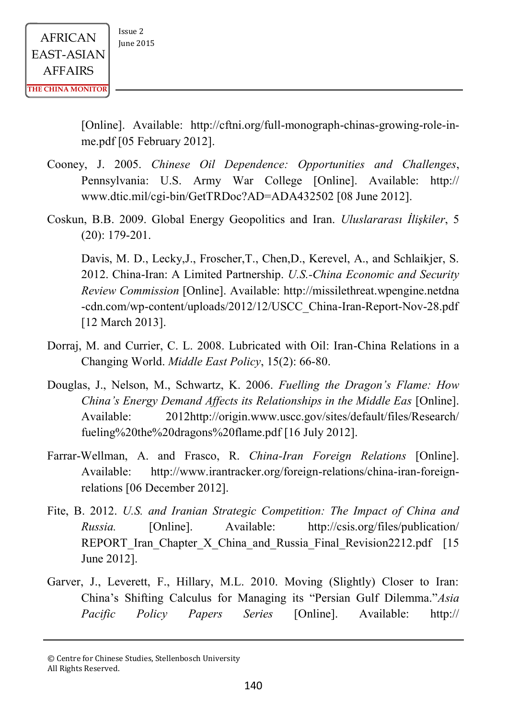**THE CHINA MONITOR**

[Online]. Available: http://cftni.org/full-monograph-chinas-growing-role-inme.pdf [05 February 2012].

- Cooney, J. 2005. *Chinese Oil Dependence: Opportunities and Challenges*, Pennsylvania: U.S. Army War College [Online]. Available: http:// www.dtic.mil/cgi-bin/GetTRDoc?AD=ADA432502 [08 June 2012].
- Coskun, B.B. 2009. Global Energy Geopolitics and Iran. *Uluslararası İlişkiler*, 5 (20): 179-201.

Davis, M. D., Lecky,J., Froscher,T., Chen,D., Kerevel, A., and Schlaikjer, S. 2012. China-Iran: A Limited Partnership. *U.S.-China Economic and Security Review Commission* [Online]. Available: http://missilethreat.wpengine.netdna -cdn.com/wp-content/uploads/2012/12/USCC\_China-Iran-Report-Nov-28.pdf [12 March 2013].

- Dorraj, M. and Currier, C. L. 2008. Lubricated with Oil: Iran-China Relations in a Changing World. *Middle East Policy*, 15(2): 66-80.
- Douglas, J., Nelson, M., Schwartz, K. 2006. *Fuelling the Dragon's Flame: How China's Energy Demand Affects its Relationships in the Middle Eas* [Online]. Available: 2012http://origin.www.uscc.gov/sites/default/files/Research/ fueling%20the%20dragons%20flame.pdf [16 July 2012].
- Farrar-Wellman, A. and Frasco, R. *China-Iran Foreign Relations* [Online]. Available: http://www.irantracker.org/foreign-relations/china-iran-foreignrelations [06 December 2012].
- Fite, B. 2012. *U.S. and Iranian Strategic Competition: The Impact of China and Russia.* [Online]. Available: http://csis.org/files/publication/ REPORT Iran Chapter X China and Russia Final Revision2212.pdf  $[15]$ June 2012].
- Garver, J., Leverett, F., Hillary, M.L. 2010. Moving (Slightly) Closer to Iran: China's Shifting Calculus for Managing its "Persian Gulf Dilemma."*Asia Pacific Policy Papers Series* [Online]. Available: http://

<sup>©</sup> Centre for Chinese Studies, Stellenbosch University All Rights Reserved.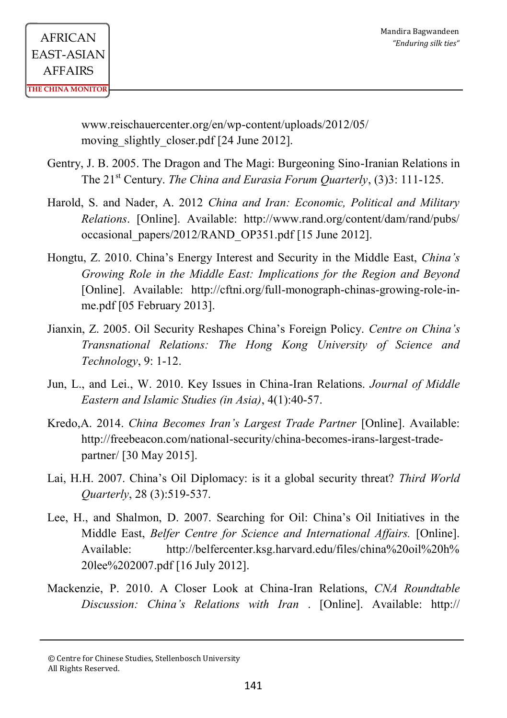www.reischauercenter.org/en/wp-content/uploads/2012/05/ moving slightly closer.pdf [24 June 2012].

- Gentry, J. B. 2005. The Dragon and The Magi: Burgeoning Sino-Iranian Relations in The 21<sup>st</sup> Century. *The China and Eurasia Forum Quarterly*, (3)3: 111-125.
- Harold, S. and Nader, A. 2012 *China and Iran: Economic, Political and Military Relations*. [Online]. Available: http://www.rand.org/content/dam/rand/pubs/ occasional\_papers/2012/RAND\_OP351.pdf [15 June 2012].
- Hongtu, Z. 2010. China's Energy Interest and Security in the Middle East, *China's Growing Role in the Middle East: Implications for the Region and Beyond*  [Online]. Available: http://cftni.org/full-monograph-chinas-growing-role-inme.pdf [05 February 2013].
- Jianxin, Z. 2005. Oil Security Reshapes China's Foreign Policy. *Centre on China's Transnational Relations: The Hong Kong University of Science and Technology*, 9: 1-12.
- Jun, L., and Lei., W. 2010. Key Issues in China-Iran Relations. *Journal of Middle Eastern and Islamic Studies (in Asia)*, 4(1):40-57.
- Kredo,A. 2014. *China Becomes Iran's Largest Trade Partner* [Online]. Available: http://freebeacon.com/national-security/china-becomes-irans-largest-tradepartner/ [30 May 2015].
- Lai, H.H. 2007. China's Oil Diplomacy: is it a global security threat? *Third World Quarterly*, 28 (3):519-537.
- Lee, H., and Shalmon, D. 2007. Searching for Oil: China's Oil Initiatives in the Middle East, *Belfer Centre for Science and International Affairs.* [Online]. Available: http://belfercenter.ksg.harvard.edu/files/china%20oil%20h% 20lee%202007.pdf [16 July 2012].
- Mackenzie, P. 2010. A Closer Look at China-Iran Relations, *CNA Roundtable Discussion: China's Relations with Iran* . [Online]. Available: http://

<sup>©</sup> Centre for Chinese Studies, Stellenbosch University All Rights Reserved.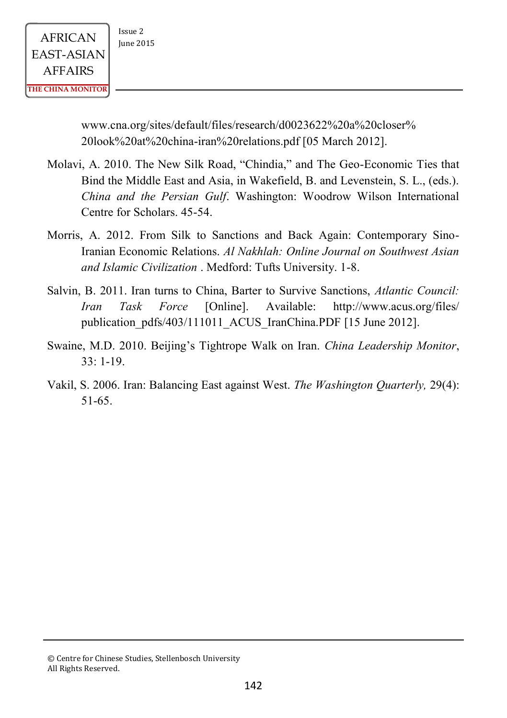www.cna.org/sites/default/files/research/d0023622%20a%20closer% 20look%20at%20china-iran%20relations.pdf [05 March 2012].

- Molavi, A. 2010. The New Silk Road, "Chindia," and The Geo-Economic Ties that Bind the Middle East and Asia, in Wakefield, B. and Levenstein, S. L., (eds.). *China and the Persian Gulf*. Washington: Woodrow Wilson International Centre for Scholars. 45-54.
- Morris, A. 2012. From Silk to Sanctions and Back Again: Contemporary Sino-Iranian Economic Relations. *Al Nakhlah: Online Journal on Southwest Asian and Islamic Civilization* . Medford: Tufts University. 1-8.
- Salvin, B. 2011. Iran turns to China, Barter to Survive Sanctions, *Atlantic Council: Iran Task Force* [Online]. Available: http://www.acus.org/files/ publication\_pdfs/403/111011\_ACUS\_IranChina.PDF [15 June 2012].
- Swaine, M.D. 2010. Beijing's Tightrope Walk on Iran. *China Leadership Monitor*,  $33 \cdot 1 - 19$
- Vakil, S. 2006. Iran: Balancing East against West. *The Washington Quarterly,* 29(4): 51-65.

<sup>©</sup> Centre for Chinese Studies, Stellenbosch University All Rights Reserved.